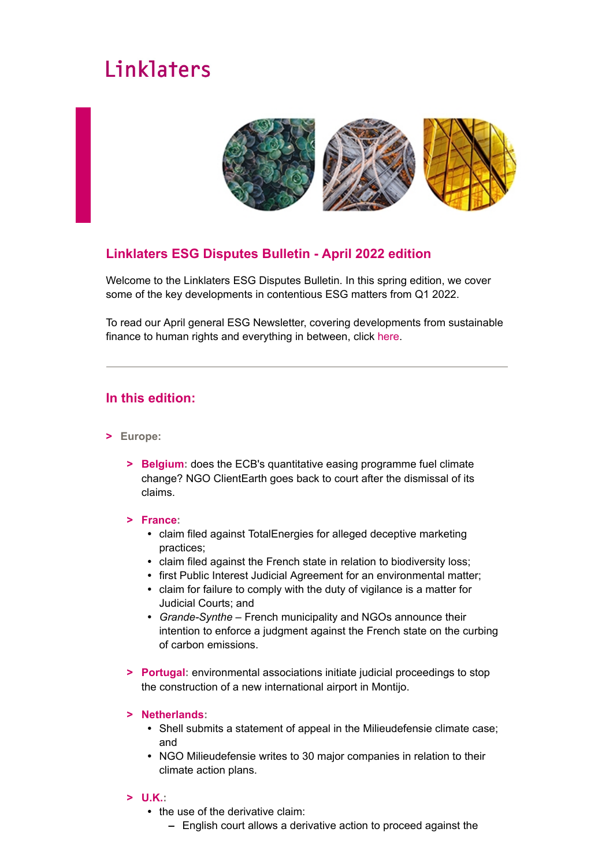# Linklaters



# <span id="page-0-0"></span>**Linklaters ESG Disputes Bulletin - April 2022 edition**

Welcome to the Linklaters ESG Disputes Bulletin. In this spring edition, we cover some of the key developments in contentious ESG matters from Q1 2022.

To read our April general ESG Newsletter, covering developments from sustainable finance to human rights and everything in between, click [here.](https://lpscdn.linklaters.com/-/media/digital-marketing-image-library/files/01_insights/publications/esg-newsletter-2022/esg-newsletter-2022_april-2022.ashx?rev=621c3700-510b-42dc-bcb1-a8126dd1ccda&extension=pdf&hash=3ADA6890DFD69D1047A70802D856071F)

# **In this edition:**

- **> Europe:**
	- **> [Belgium:](#page-1-0)** does the ECB's quantitative easing programme fuel climate change? NGO ClientEarth goes back to court after the dismissal of its claims.

## **> [France:](#page-2-0)**

- **•** claim filed against TotalEnergies for alleged deceptive marketing practices;
- **•** claim filed against the French state in relation to biodiversity loss;
- **•** first Public Interest Judicial Agreement for an environmental matter;
- **•** claim for failure to comply with the duty of vigilance is a matter for Judicial Courts; and
- **•** *Grande-Synthe* French municipality and NGOs announce their intention to enforce a judgment against the French state on the curbing of carbon emissions.
- **> [Portugal](#page-4-0):** environmental associations initiate judicial proceedings to stop the construction of a new international airport in Montijo.

## **> [Netherlands](#page-4-1):**

- **•** Shell submits a statement of appeal in the Milieudefensie climate case; and
- **•** NGO Milieudefensie writes to 30 major companies in relation to their climate action plans.

## **> [U.K.:](#page-5-0)**

- **•** the use of the derivative claim:
	- **–** English court allows a derivative action to proceed against the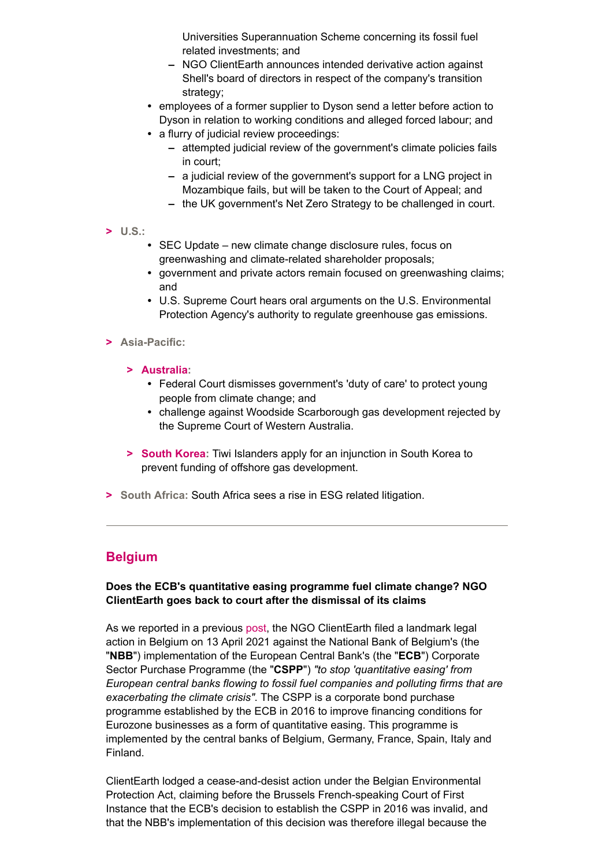Universities Superannuation Scheme concerning its fossil fuel related investments; and

- **–** NGO ClientEarth announces intended derivative action against Shell's board of directors in respect of the company's transition strategy;
- **•** employees of a former supplier to Dyson send a letter before action to Dyson in relation to working conditions and alleged forced labour; and
- **•** a flurry of judicial review proceedings:
	- **–** attempted judicial review of the government's climate policies fails in court;
	- **–** a judicial review of the government's support for a LNG project in Mozambique fails, but will be taken to the Court of Appeal; and
	- **–** the UK government's Net Zero Strategy to be challenged in court.
- **> [U.S.:](#page-8-0)**
	- **•** SEC Update new climate change disclosure rules, focus on greenwashing and climate-related shareholder proposals;
	- **•** government and private actors remain focused on greenwashing claims; and
	- **•** U.S. Supreme Court hears oral arguments on the U.S. Environmental Protection Agency's authority to regulate greenhouse gas emissions.
- **> Asia-Pacific:**
	- **> [Australia](#page-9-0):**
		- **•** Federal Court dismisses government's 'duty of care' to protect young people from climate change; and
		- **•** challenge against Woodside Scarborough gas development rejected by the Supreme Court of Western Australia.
	- **> [South Korea:](#page-10-0)** Tiwi Islanders apply for an injunction in South Korea to prevent funding of offshore gas development.
- **> [South Africa:](#page-10-1)** South Africa sees a rise in ESG related litigation.

# <span id="page-1-0"></span>**Belgium**

## **Does the ECB's quantitative easing programme fuel climate change? NGO ClientEarth goes back to court after the dismissal of its claims**

As we reported in a previous [post,](https://sustainablefutures.linklaters.com/post/102h28b/ecbs-quantitative-easing-programme-challenged-before-belgian-courts-for-fuellin) the NGO ClientEarth filed a landmark legal action in Belgium on 13 April 2021 against the National Bank of Belgium's (the "**NBB**") implementation of the European Central Bank's (the "**ECB**") Corporate Sector Purchase Programme (the "**CSPP**") *"to stop 'quantitative easing' from European central banks flowing to fossil fuel companies and polluting firms that are exacerbating the climate crisis"*. The CSPP is a corporate bond purchase programme established by the ECB in 2016 to improve financing conditions for Eurozone businesses as a form of quantitative easing. This programme is implemented by the central banks of Belgium, Germany, France, Spain, Italy and Finland.

ClientEarth lodged a cease-and-desist action under the Belgian Environmental Protection Act, claiming before the Brussels French-speaking Court of First Instance that the ECB's decision to establish the CSPP in 2016 was invalid, and that the NBB's implementation of this decision was therefore illegal because the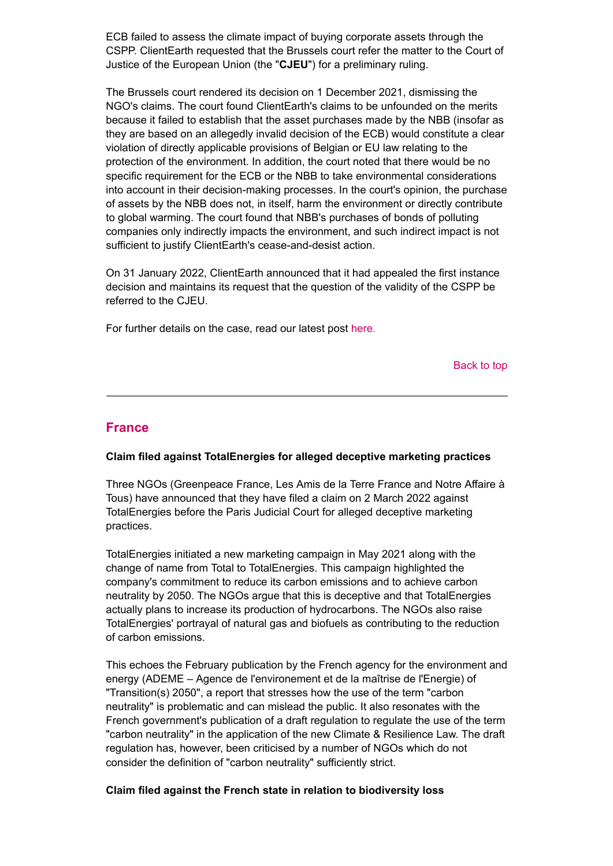ECB failed to assess the climate impact of buying corporate assets through the CSPP. ClientEarth requested that the Brussels court refer the matter to the Court of Justice of the European Union (the "**CJEU**") for a preliminary ruling.

The Brussels court rendered its decision on 1 December 2021, dismissing the NGO's claims. The court found ClientEarth's claims to be unfounded on the merits because it failed to establish that the asset purchases made by the NBB (insofar as they are based on an allegedly invalid decision of the ECB) would constitute a clear violation of directly applicable provisions of Belgian or EU law relating to the protection of the environment. In addition, the court noted that there would be no specific requirement for the ECB or the NBB to take environmental considerations into account in their decision-making processes. In the court's opinion, the purchase of assets by the NBB does not, in itself, harm the environment or directly contribute to global warming. The court found that NBB's purchases of bonds of polluting companies only indirectly impacts the environment, and such indirect impact is not sufficient to justify ClientEarth's cease-and-desist action.

On 31 January 2022, ClientEarth announced that it had appealed the first instance decision and maintains its request that the question of the validity of the CSPP be referred to the CJEU.

For further details on the case, read our latest post [here](https://sustainablefutures.linklaters.com/post/102hj1q/does-the-ecbs-quantitative-easing-programme-fuel-climate-change-ngo-clientearth).

[Back to top](#page-0-0)

## <span id="page-2-0"></span>**France**

#### **Claim filed against TotalEnergies for alleged deceptive marketing practices**

Three NGOs (Greenpeace France, Les Amis de la Terre France and Notre Affaire à Tous) have announced that they have filed a claim on 2 March 2022 against TotalEnergies before the Paris Judicial Court for alleged deceptive marketing practices.

TotalEnergies initiated a new marketing campaign in May 2021 along with the change of name from Total to TotalEnergies. This campaign highlighted the company's commitment to reduce its carbon emissions and to achieve carbon neutrality by 2050. The NGOs argue that this is deceptive and that TotalEnergies actually plans to increase its production of hydrocarbons. The NGOs also raise TotalEnergies' portrayal of natural gas and biofuels as contributing to the reduction of carbon emissions.

This echoes the February publication by the French agency for the environment and energy (ADEME – Agence de l'environement et de la maîtrise de l'Energie) of "Transition(s) 2050", a report that stresses how the use of the term "carbon neutrality" is problematic and can mislead the public. It also resonates with the French government's publication of a draft regulation to regulate the use of the term "carbon neutrality" in the application of the new Climate & Resilience Law. The draft regulation has, however, been criticised by a number of NGOs which do not consider the definition of "carbon neutrality" sufficiently strict.

#### **Claim filed against the French state in relation to biodiversity loss**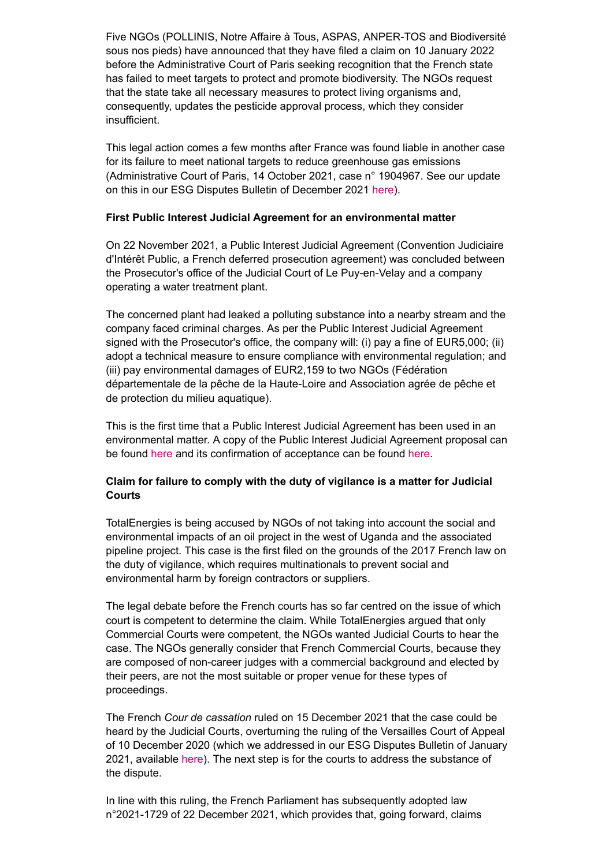Five NGOs (POLLINIS, Notre Affaire à Tous, ASPAS, ANPER-TOS and Biodiversité sous nos pieds) have announced that they have filed a claim on 10 January 2022 before the Administrative Court of Paris seeking recognition that the French state has failed to meet targets to protect and promote biodiversity. The NGOs request that the state take all necessary measures to protect living organisms and, consequently, updates the pesticide approval process, which they consider insufficient.

This legal action comes a few months after France was found liable in another case for its failure to meet national targets to reduce greenhouse gas emissions (Administrative Court of Paris, 14 October 2021, case n° 1904967. See our update on this in our ESG Disputes Bulletin of December 2021 [here](https://lpscdn.linklaters.com/-/media/digital-marketing-image-library/files/01_insights/publications/2021/december/esg-disputes-bulletin---december-2021-edition_december-2021.ashx?rev=6df649ef-f965-45be-81d6-c6e63b65ec4f&extension=pdf&hash=45C2148552DEA63B59C393683ECC2430)).

#### **First Public Interest Judicial Agreement for an environmental matter**

On 22 November 2021, a Public Interest Judicial Agreement (Convention Judiciaire d'Intérêt Public, a French deferred prosecution agreement) was concluded between the Prosecutor's office of the Judicial Court of Le Puy-en-Velay and a company operating a water treatment plant.

The concerned plant had leaked a polluting substance into a nearby stream and the company faced criminal charges. As per the Public Interest Judicial Agreement signed with the Prosecutor's office, the company will: (i) pay a fine of EUR5,000; (ii) adopt a technical measure to ensure compliance with environmental regulation; and (iii) pay environmental damages of EUR2,159 to two NGOs (Fédération départementale de la pêche de la Haute-Loire and Association agrée de pêche et de protection du milieu aquatique).

This is the first time that a Public Interest Judicial Agreement has been used in an environmental matter. A copy of the Public Interest Judicial Agreement proposal can be found [here a](https://www.ecologie.gouv.fr/sites/default/files/PROPOSITION_DE_CJIP_SYMPAE.pdf)nd its confirmation of acceptance can be found [here.](https://www.ecologie.gouv.fr/sites/default/files/ORDONNANCE_DE_VALIDATION_CJIP_SYMPAE.pdf)

## **Claim for failure to comply with the duty of vigilance is a matter for Judicial Courts**

TotalEnergies is being accused by NGOs of not taking into account the social and environmental impacts of an oil project in the west of Uganda and the associated pipeline project. This case is the first filed on the grounds of the 2017 French law on the duty of vigilance, which requires multinationals to prevent social and environmental harm by foreign contractors or suppliers.

The legal debate before the French courts has so far centred on the issue of which court is competent to determine the claim. While TotalEnergies argued that only Commercial Courts were competent, the NGOs wanted Judicial Courts to hear the case. The NGOs generally consider that French Commercial Courts, because they are composed of non-career judges with a commercial background and elected by their peers, are not the most suitable or proper venue for these types of proceedings.

The French *Cour de cassation* ruled on 15 December 2021 that the case could be heard by the Judicial Courts, overturning the ruling of the Versailles Court of Appeal of 10 December 2020 (which we addressed in our ESG Disputes Bulletin of January 2021, available [here\)](https://lpscdn.linklaters.com/-/media/digital-marketing-image-library/files/01_insights/publications/2021/january/esg-disputes-bulletin_january-2021-edition_january-2021_web.ashx?rev=c7b30e37-a143-4c41-accc-63f842934271&extension=pdf&hash=8490022E10FC35E8CA3057A846734E69). The next step is for the courts to address the substance of the dispute.

In line with this ruling, the French Parliament has subsequently adopted law n°2021-1729 of 22 December 2021, which provides that, going forward, claims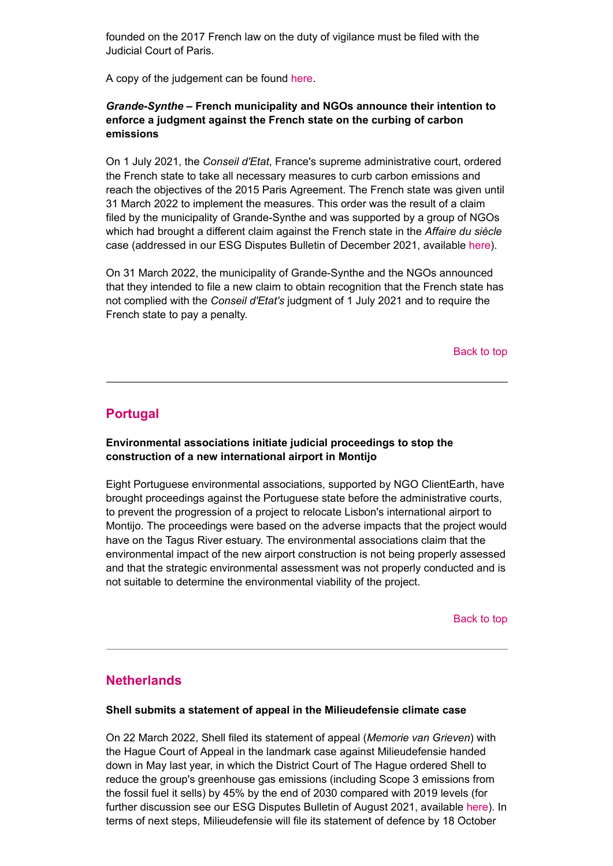founded on the 2017 French law on the duty of vigilance must be filed with the Judicial Court of Paris.

A copy of the judgement can be found [here.](https://www.legifrance.gouv.fr/juri/id/JURITEXT000044524972?isSuggest=true)

#### *Grande-Synthe* **– French municipality and NGOs announce their intention to enforce a judgment against the French state on the curbing of carbon emissions**

On 1 July 2021, the *Conseil d'Etat*, France's supreme administrative court, ordered the French state to take all necessary measures to curb carbon emissions and reach the objectives of the 2015 Paris Agreement. The French state was given until 31 March 2022 to implement the measures. This order was the result of a claim filed by the municipality of Grande-Synthe and was supported by a group of NGOs which had brought a different claim against the French state in the *Affaire du siècle* case (addressed in our ESG Disputes Bulletin of December 2021, available [here\)](https://lpscdn.linklaters.com/-/media/digital-marketing-image-library/files/01_insights/publications/2021/december/esg-disputes-bulletin---december-2021-edition_december-2021.ashx?rev=6df649ef-f965-45be-81d6-c6e63b65ec4f&extension=pdf&hash=45C2148552DEA63B59C393683ECC2430).

On 31 March 2022, the municipality of Grande-Synthe and the NGOs announced that they intended to file a new claim to obtain recognition that the French state has not complied with the *Conseil d'Etat's* judgment of 1 July 2021 and to require the French state to pay a penalty.

[Back to top](#page-0-0)

## <span id="page-4-0"></span>**Portugal**

#### **Environmental associations initiate judicial proceedings to stop the construction of a new international airport in Montijo**

Eight Portuguese environmental associations, supported by NGO ClientEarth, have brought proceedings against the Portuguese state before the administrative courts, to prevent the progression of a project to relocate Lisbon's international airport to Montijo. The proceedings were based on the adverse impacts that the project would have on the Tagus River estuary. The environmental associations claim that the environmental impact of the new airport construction is not being properly assessed and that the strategic environmental assessment was not properly conducted and is not suitable to determine the environmental viability of the project.

[Back to top](#page-0-0)

## <span id="page-4-1"></span>**Netherlands**

#### **Shell submits a statement of appeal in the Milieudefensie climate case**

On 22 March 2022, Shell filed its statement of appeal (*Memorie van Grieven*) with the Hague Court of Appeal in the landmark case against Milieudefensie handed down in May last year, in which the District Court of The Hague ordered Shell to reduce the group's greenhouse gas emissions (including Scope 3 emissions from the fossil fuel it sells) by 45% by the end of 2030 compared with 2019 levels (for further discussion see our ESG Disputes Bulletin of August 2021, available [here](https://lpscdn.linklaters.com/-/media/digital-marketing-image-library/files/01_insights/publications/2021/august/esg_disputes_bulletin_july_2021_edition_august_2021.ashx?rev=9164435b-c548-4d48-9ee4-aab9f494d8b1&extension=pdf&hash=6F5D7511A6B247077E2B731C05328520)). In terms of next steps, Milieudefensie will file its statement of defence by 18 October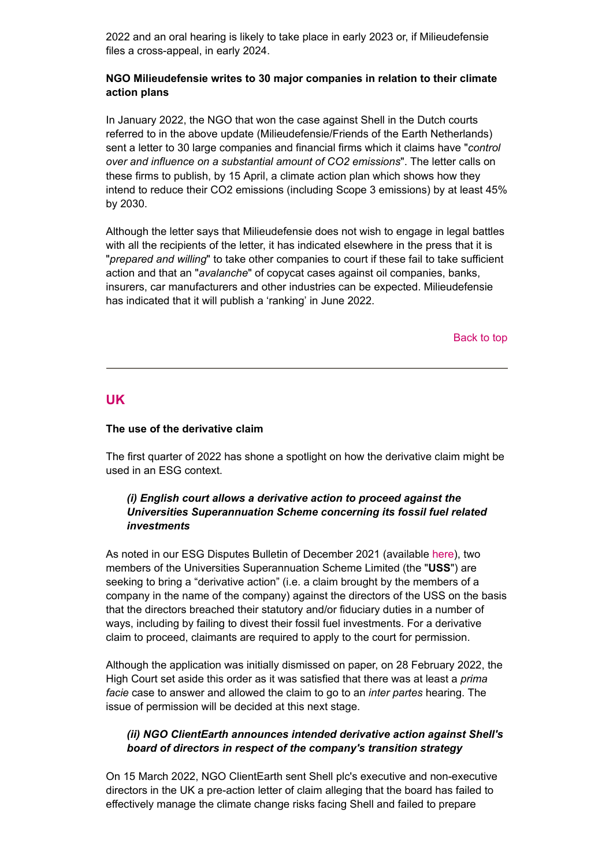2022 and an oral hearing is likely to take place in early 2023 or, if Milieudefensie files a cross-appeal, in early 2024.

#### **NGO Milieudefensie writes to 30 major companies in relation to their climate action plans**

In January 2022, the NGO that won the case against Shell in the Dutch courts referred to in the above update (Milieudefensie/Friends of the Earth Netherlands) sent a letter to 30 large companies and financial firms which it claims have "*control over and influence on a substantial amount of CO2 emissions*". The letter calls on these firms to publish, by 15 April, a climate action plan which shows how they intend to reduce their CO2 emissions (including Scope 3 emissions) by at least 45% by 2030.

Although the letter says that Milieudefensie does not wish to engage in legal battles with all the recipients of the letter, it has indicated elsewhere in the press that it is "*prepared and willing*" to take other companies to court if these fail to take sufficient action and that an "*avalanche*" of copycat cases against oil companies, banks, insurers, car manufacturers and other industries can be expected. Milieudefensie has indicated that it will publish a 'ranking' in June 2022.

[Back to top](#page-0-0)

# <span id="page-5-0"></span>**UK**

#### **The use of the derivative claim**

The first quarter of 2022 has shone a spotlight on how the derivative claim might be used in an ESG context.

## *(i) English court allows a derivative action to proceed against the Universities Superannuation Scheme concerning its fossil fuel related investments*

As noted in our ESG Disputes Bulletin of December 2021 (available [here](https://lpscdn.linklaters.com/-/media/digital-marketing-image-library/files/01_insights/publications/2021/december/esg-disputes-bulletin---december-2021-edition_december-2021.ashx?rev=6df649ef-f965-45be-81d6-c6e63b65ec4f&extension=pdf&hash=45C2148552DEA63B59C393683ECC2430)), two members of the Universities Superannuation Scheme Limited (the "**USS**") are seeking to bring a "derivative action" (i.e. a claim brought by the members of a company in the name of the company) against the directors of the USS on the basis that the directors breached their statutory and/or fiduciary duties in a number of ways, including by failing to divest their fossil fuel investments. For a derivative claim to proceed, claimants are required to apply to the court for permission.

Although the application was initially dismissed on paper, on 28 February 2022, the High Court set aside this order as it was satisfied that there was at least a *prima facie* case to answer and allowed the claim to go to an *inter partes* hearing. The issue of permission will be decided at this next stage.

## *(ii) NGO ClientEarth announces intended derivative action against Shell's board of directors in respect of the company's transition strategy*

On 15 March 2022, NGO ClientEarth sent Shell plc's executive and non-executive directors in the UK a pre-action letter of claim alleging that the board has failed to effectively manage the climate change risks facing Shell and failed to prepare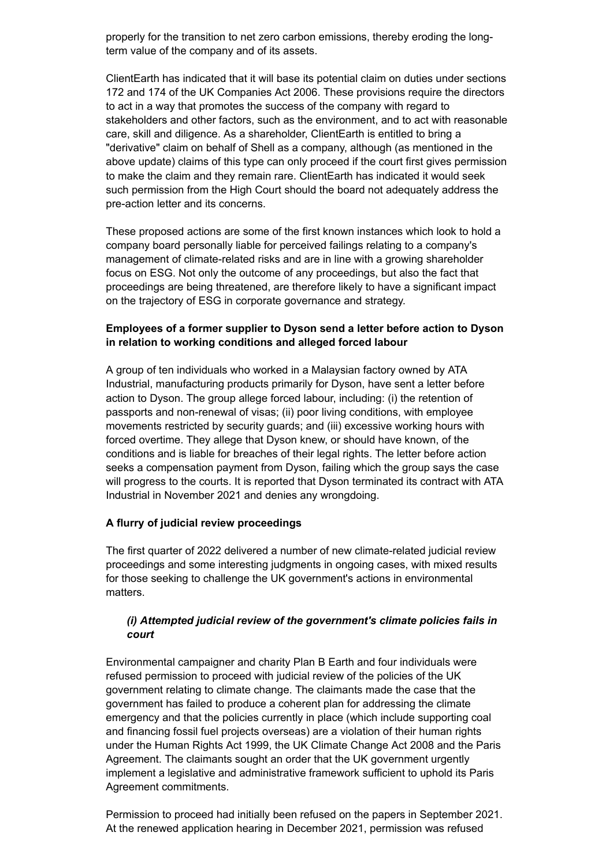properly for the transition to net zero carbon emissions, thereby eroding the longterm value of the company and of its assets.

ClientEarth has indicated that it will base its potential claim on duties under sections 172 and 174 of the UK Companies Act 2006. These provisions require the directors to act in a way that promotes the success of the company with regard to stakeholders and other factors, such as the environment, and to act with reasonable care, skill and diligence. As a shareholder, ClientEarth is entitled to bring a "derivative" claim on behalf of Shell as a company, although (as mentioned in the above update) claims of this type can only proceed if the court first gives permission to make the claim and they remain rare. ClientEarth has indicated it would seek such permission from the High Court should the board not adequately address the pre-action letter and its concerns.

These proposed actions are some of the first known instances which look to hold a company board personally liable for perceived failings relating to a company's management of climate-related risks and are in line with a growing shareholder focus on ESG. Not only the outcome of any proceedings, but also the fact that proceedings are being threatened, are therefore likely to have a significant impact on the trajectory of ESG in corporate governance and strategy.

#### **Employees of a former supplier to Dyson send a letter before action to Dyson in relation to working conditions and alleged forced labour**

A group of ten individuals who worked in a Malaysian factory owned by ATA Industrial, manufacturing products primarily for Dyson, have sent a letter before action to Dyson. The group allege forced labour, including: (i) the retention of passports and non-renewal of visas; (ii) poor living conditions, with employee movements restricted by security guards; and (iii) excessive working hours with forced overtime. They allege that Dyson knew, or should have known, of the conditions and is liable for breaches of their legal rights. The letter before action seeks a compensation payment from Dyson, failing which the group says the case will progress to the courts. It is reported that Dyson terminated its contract with ATA Industrial in November 2021 and denies any wrongdoing.

## **A flurry of judicial review proceedings**

The first quarter of 2022 delivered a number of new climate-related judicial review proceedings and some interesting judgments in ongoing cases, with mixed results for those seeking to challenge the UK government's actions in environmental matters.

## *(i) Attempted judicial review of the government's climate policies fails in court*

Environmental campaigner and charity Plan B Earth and four individuals were refused permission to proceed with judicial review of the policies of the UK government relating to climate change. The claimants made the case that the government has failed to produce a coherent plan for addressing the climate emergency and that the policies currently in place (which include supporting coal and financing fossil fuel projects overseas) are a violation of their human rights under the Human Rights Act 1999, the UK Climate Change Act 2008 and the Paris Agreement. The claimants sought an order that the UK government urgently implement a legislative and administrative framework sufficient to uphold its Paris Agreement commitments.

Permission to proceed had initially been refused on the papers in September 2021. At the renewed application hearing in December 2021, permission was refused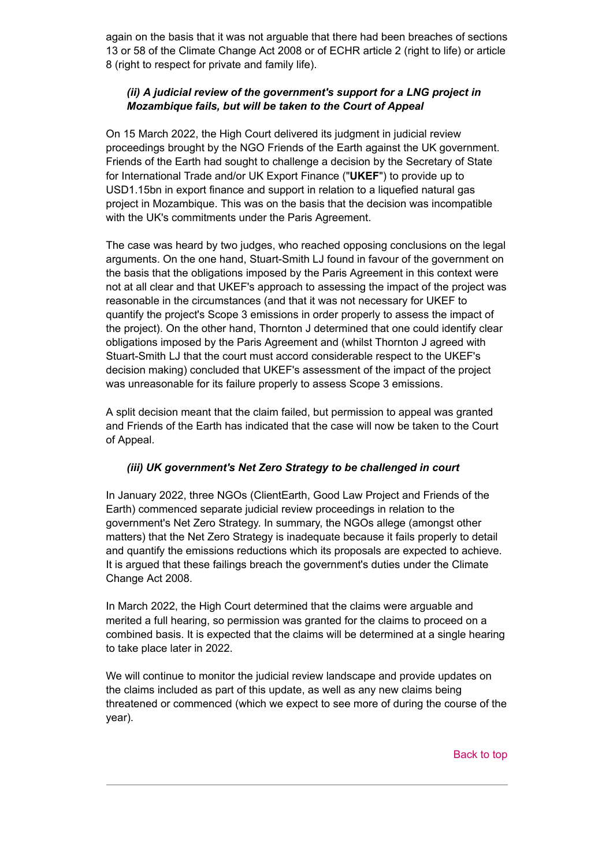again on the basis that it was not arguable that there had been breaches of sections 13 or 58 of the Climate Change Act 2008 or of ECHR article 2 (right to life) or article 8 (right to respect for private and family life).

## *(ii) A judicial review of the government's support for a LNG project in Mozambique fails, but will be taken to the Court of Appeal*

On 15 March 2022, the High Court delivered its judgment in judicial review proceedings brought by the NGO Friends of the Earth against the UK government. Friends of the Earth had sought to challenge a decision by the Secretary of State for International Trade and/or UK Export Finance ("**UKEF**") to provide up to USD1.15bn in export finance and support in relation to a liquefied natural gas project in Mozambique. This was on the basis that the decision was incompatible with the UK's commitments under the Paris Agreement.

The case was heard by two judges, who reached opposing conclusions on the legal arguments. On the one hand, Stuart-Smith LJ found in favour of the government on the basis that the obligations imposed by the Paris Agreement in this context were not at all clear and that UKEF's approach to assessing the impact of the project was reasonable in the circumstances (and that it was not necessary for UKEF to quantify the project's Scope 3 emissions in order properly to assess the impact of the project). On the other hand, Thornton J determined that one could identify clear obligations imposed by the Paris Agreement and (whilst Thornton J agreed with Stuart-Smith LJ that the court must accord considerable respect to the UKEF's decision making) concluded that UKEF's assessment of the impact of the project was unreasonable for its failure properly to assess Scope 3 emissions.

A split decision meant that the claim failed, but permission to appeal was granted and Friends of the Earth has indicated that the case will now be taken to the Court of Appeal.

## *(iii) UK government's Net Zero Strategy to be challenged in court*

In January 2022, three NGOs (ClientEarth, Good Law Project and Friends of the Earth) commenced separate judicial review proceedings in relation to the government's Net Zero Strategy. In summary, the NGOs allege (amongst other matters) that the Net Zero Strategy is inadequate because it fails properly to detail and quantify the emissions reductions which its proposals are expected to achieve. It is argued that these failings breach the government's duties under the Climate Change Act 2008.

In March 2022, the High Court determined that the claims were arguable and merited a full hearing, so permission was granted for the claims to proceed on a combined basis. It is expected that the claims will be determined at a single hearing to take place later in 2022.

We will continue to monitor the judicial review landscape and provide updates on the claims included as part of this update, as well as any new claims being threatened or commenced (which we expect to see more of during the course of the year).

[Back to top](#page-0-0)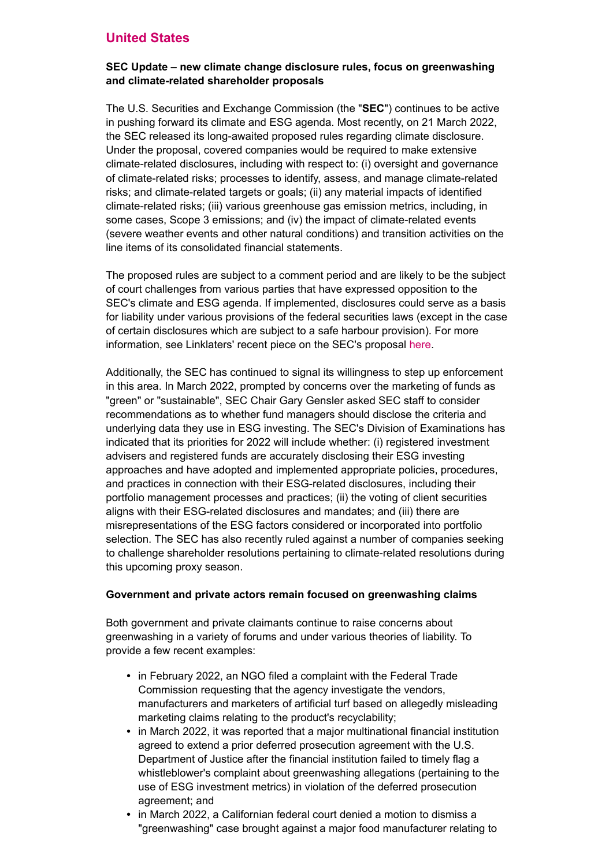# <span id="page-8-0"></span>**United States**

#### **SEC Update – new climate change disclosure rules, focus on greenwashing and climate-related shareholder proposals**

The U.S. Securities and Exchange Commission (the "**SEC**") continues to be active in pushing forward its climate and ESG agenda. Most recently, on 21 March 2022, the SEC released its long-awaited proposed rules regarding climate disclosure. Under the proposal, covered companies would be required to make extensive climate-related disclosures, including with respect to: (i) oversight and governance of climate-related risks; processes to identify, assess, and manage climate-related risks; and climate-related targets or goals; (ii) any material impacts of identified climate-related risks; (iii) various greenhouse gas emission metrics, including, in some cases, Scope 3 emissions; and (iv) the impact of climate-related events (severe weather events and other natural conditions) and transition activities on the line items of its consolidated financial statements.

The proposed rules are subject to a comment period and are likely to be the subject of court challenges from various parties that have expressed opposition to the SEC's climate and ESG agenda. If implemented, disclosures could serve as a basis for liability under various provisions of the federal securities laws (except in the case of certain disclosures which are subject to a safe harbour provision). For more information, see Linklaters' recent piece on the SEC's proposal [here](https://www.linklaters.com/en/knowledge/publications/alerts-newsletters-and-guides/2022/march/23/climate-related-disclosure-may-soon-become-mandatory-in-the-united-states?utm_source=knowledge&utm_medium=email&utm_campaign=whatsnew&expiry=2022-03-30T18:54:51&userid=9db3e5bb42854a67ba3b3df5d7053de2&token=c3bb63f643d96282c3443a6ce2ef7215168c91d5cdbeaaaf0d8fc724749c59c0).

Additionally, the SEC has continued to signal its willingness to step up enforcement in this area. In March 2022, prompted by concerns over the marketing of funds as "green" or "sustainable", SEC Chair Gary Gensler asked SEC staff to consider recommendations as to whether fund managers should disclose the criteria and underlying data they use in ESG investing. The SEC's Division of Examinations has indicated that its priorities for 2022 will include whether: (i) registered investment advisers and registered funds are accurately disclosing their ESG investing approaches and have adopted and implemented appropriate policies, procedures, and practices in connection with their ESG-related disclosures, including their portfolio management processes and practices; (ii) the voting of client securities aligns with their ESG-related disclosures and mandates; and (iii) there are misrepresentations of the ESG factors considered or incorporated into portfolio selection. The SEC has also recently ruled against a number of companies seeking to challenge shareholder resolutions pertaining to climate-related resolutions during this upcoming proxy season.

#### **Government and private actors remain focused on greenwashing claims**

Both government and private claimants continue to raise concerns about greenwashing in a variety of forums and under various theories of liability. To provide a few recent examples:

- **•** in February 2022, an NGO filed a complaint with the Federal Trade Commission requesting that the agency investigate the vendors, manufacturers and marketers of artificial turf based on allegedly misleading marketing claims relating to the product's recyclability;
- **•** in March 2022, it was reported that a major multinational financial institution agreed to extend a prior deferred prosecution agreement with the U.S. Department of Justice after the financial institution failed to timely flag a whistleblower's complaint about greenwashing allegations (pertaining to the use of ESG investment metrics) in violation of the deferred prosecution agreement; and
- **•** in March 2022, a Californian federal court denied a motion to dismiss a "greenwashing" case brought against a major food manufacturer relating to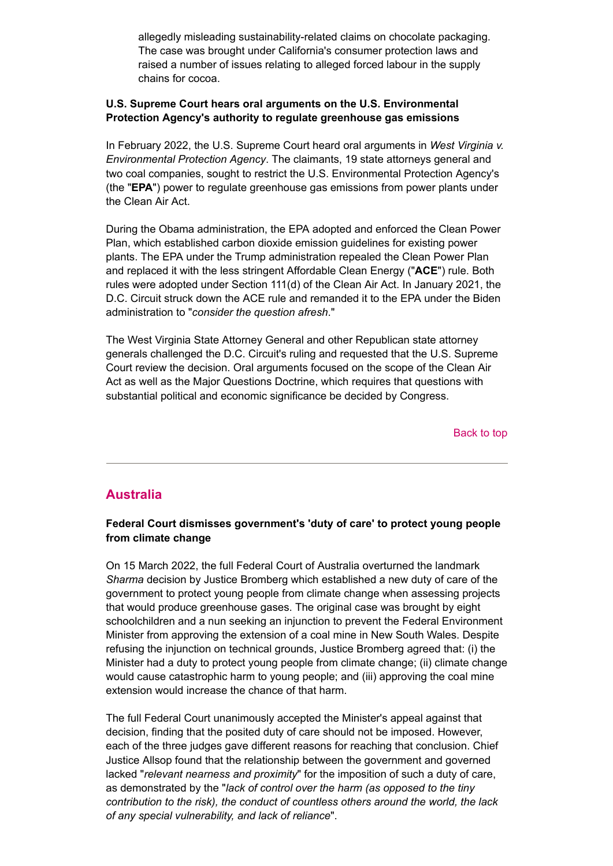allegedly misleading sustainability-related claims on chocolate packaging. The case was brought under California's consumer protection laws and raised a number of issues relating to alleged forced labour in the supply chains for cocoa.

#### **U.S. Supreme Court hears oral arguments on the U.S. Environmental Protection Agency's authority to regulate greenhouse gas emissions**

In February 2022, the U.S. Supreme Court heard oral arguments in *West Virginia v. Environmental Protection Agency*. The claimants, 19 state attorneys general and two coal companies, sought to restrict the U.S. Environmental Protection Agency's (the "**EPA**") power to regulate greenhouse gas emissions from power plants under the Clean Air Act.

During the Obama administration, the EPA adopted and enforced the Clean Power Plan, which established carbon dioxide emission guidelines for existing power plants. The EPA under the Trump administration repealed the Clean Power Plan and replaced it with the less stringent Affordable Clean Energy ("**ACE**") rule. Both rules were adopted under Section 111(d) of the Clean Air Act. In January 2021, the D.C. Circuit struck down the ACE rule and remanded it to the EPA under the Biden administration to "*consider the question afresh*."

The West Virginia State Attorney General and other Republican state attorney generals challenged the D.C. Circuit's ruling and requested that the U.S. Supreme Court review the decision. Oral arguments focused on the scope of the Clean Air Act as well as the Major Questions Doctrine, which requires that questions with substantial political and economic significance be decided by Congress.

[Back to top](#page-0-0)

## <span id="page-9-0"></span>**Australia**

#### **Federal Court dismisses government's 'duty of care' to protect young people from climate change**

On 15 March 2022, the full Federal Court of Australia overturned the landmark *Sharma* decision by Justice Bromberg which established a new duty of care of the government to protect young people from climate change when assessing projects that would produce greenhouse gases. The original case was brought by eight schoolchildren and a nun seeking an injunction to prevent the Federal Environment Minister from approving the extension of a coal mine in New South Wales. Despite refusing the injunction on technical grounds, Justice Bromberg agreed that: (i) the Minister had a duty to protect young people from climate change; (ii) climate change would cause catastrophic harm to young people; and (iii) approving the coal mine extension would increase the chance of that harm.

The full Federal Court unanimously accepted the Minister's appeal against that decision, finding that the posited duty of care should not be imposed. However, each of the three judges gave different reasons for reaching that conclusion. Chief Justice Allsop found that the relationship between the government and governed lacked "*relevant nearness and proximity*" for the imposition of such a duty of care, as demonstrated by the "*lack of control over the harm (as opposed to the tiny contribution to the risk), the conduct of countless others around the world, the lack of any special vulnerability, and lack of reliance*".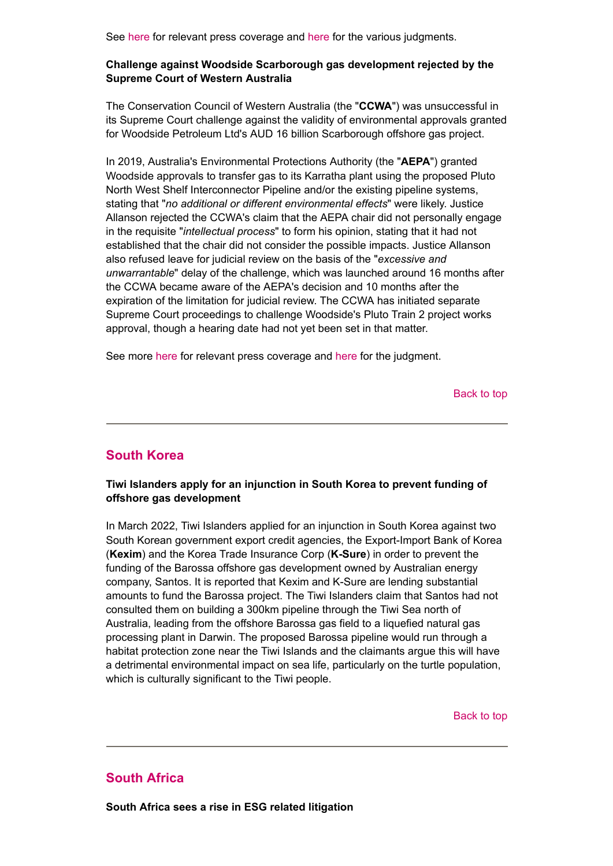See [here](https://www.abc.net.au/news/2022-03-15/federal-court-judgement-on-climate-change-government-doc/100909214) for relevant press coverage and [here](https://www.fedcourt.gov.au/services/access-to-files-and-transcripts/online-files/minister-for-the-environment-v-sharma) for the various judgments.

#### **Challenge against Woodside Scarborough gas development rejected by the Supreme Court of Western Australia**

The Conservation Council of Western Australia (the "**CCWA**") was unsuccessful in its Supreme Court challenge against the validity of environmental approvals granted for Woodside Petroleum Ltd's AUD 16 billion Scarborough offshore gas project.

In 2019, Australia's Environmental Protections Authority (the "**AEPA**") granted Woodside approvals to transfer gas to its Karratha plant using the proposed Pluto North West Shelf Interconnector Pipeline and/or the existing pipeline systems, stating that "*no additional or different environmental effects*" were likely. Justice Allanson rejected the CCWA's claim that the AEPA chair did not personally engage in the requisite "*intellectual process*" to form his opinion, stating that it had not established that the chair did not consider the possible impacts. Justice Allanson also refused leave for judicial review on the basis of the "*excessive and unwarrantable*" delay of the challenge, which was launched around 16 months after the CCWA became aware of the AEPA's decision and 10 months after the expiration of the limitation for judicial review. The CCWA has initiated separate Supreme Court proceedings to challenge Woodside's Pluto Train 2 project works approval, though a hearing date had not yet been set in that matter.

See more [here](https://www.abc.net.au/news/2022-03-01/supreme-court-rejects-ccwa-challenge-woodside-scarborough/100716924) for relevant press coverage and [here f](https://ecourts.justice.wa.gov.au/eCourtsPortal/Decisions/DownloadDecision?id=54aa8a8b-2c01-49f0-b612-2fa8135bd95a)or the judgment.

[Back to top](#page-0-0)

## <span id="page-10-0"></span>**South Korea**

## **Tiwi Islanders apply for an injunction in South Korea to prevent funding of offshore gas development**

In March 2022, Tiwi Islanders applied for an injunction in South Korea against two South Korean government export credit agencies, the Export-Import Bank of Korea (**Kexim**) and the Korea Trade Insurance Corp (**K-Sure**) in order to prevent the funding of the Barossa offshore gas development owned by Australian energy company, Santos. It is reported that Kexim and K-Sure are lending substantial amounts to fund the Barossa project. The Tiwi Islanders claim that Santos had not consulted them on building a 300km pipeline through the Tiwi Sea north of Australia, leading from the offshore Barossa gas field to a liquefied natural gas processing plant in Darwin. The proposed Barossa pipeline would run through a habitat protection zone near the Tiwi Islands and the claimants argue this will have a detrimental environmental impact on sea life, particularly on the turtle population, which is culturally significant to the Tiwi people.

[Back to top](#page-0-0)

## <span id="page-10-1"></span>**South Africa**

**South Africa sees a rise in ESG related litigation**